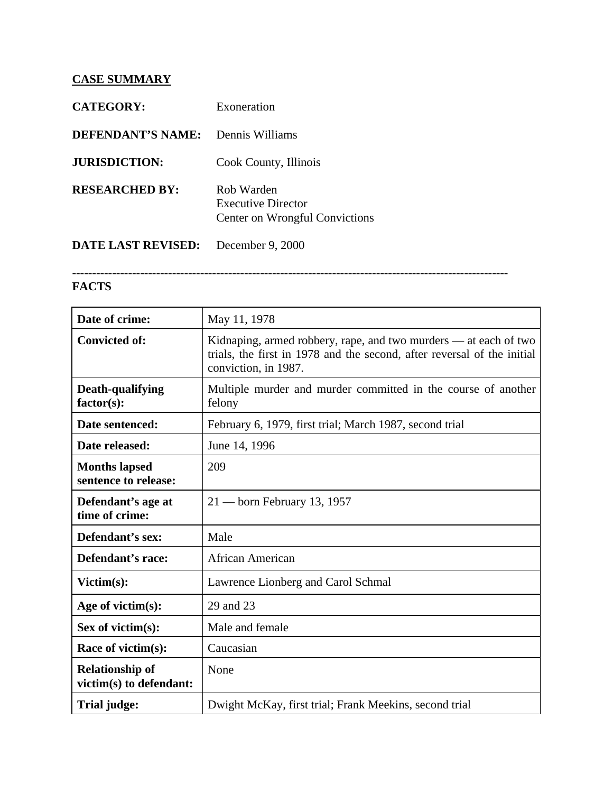## **CASE SUMMARY**

| <b>CATEGORY:</b>          | Exoneration                                                               |
|---------------------------|---------------------------------------------------------------------------|
| <b>DEFENDANT'S NAME:</b>  | Dennis Williams                                                           |
| <b>JURISDICTION:</b>      | Cook County, Illinois                                                     |
| <b>RESEARCHED BY:</b>     | Rob Warden<br><b>Executive Director</b><br>Center on Wrongful Convictions |
| <b>DATE LAST REVISED:</b> | December 9, 2000                                                          |

## -------------------------------------------------------------------------------------------------------------

## **FACTS**

| Date of crime:                                    | May 11, 1978                                                                                                                                                        |
|---------------------------------------------------|---------------------------------------------------------------------------------------------------------------------------------------------------------------------|
| <b>Convicted of:</b>                              | Kidnaping, armed robbery, rape, and two murders — at each of two<br>trials, the first in 1978 and the second, after reversal of the initial<br>conviction, in 1987. |
| Death-qualifying<br>$factor(s)$ :                 | Multiple murder and murder committed in the course of another<br>felony                                                                                             |
| Date sentenced:                                   | February 6, 1979, first trial; March 1987, second trial                                                                                                             |
| Date released:                                    | June 14, 1996                                                                                                                                                       |
| <b>Months lapsed</b><br>sentence to release:      | 209                                                                                                                                                                 |
| Defendant's age at<br>time of crime:              | $21 -$ born February 13, 1957                                                                                                                                       |
| Defendant's sex:                                  | Male                                                                                                                                                                |
| Defendant's race:                                 | <b>African American</b>                                                                                                                                             |
| Victim(s):                                        | Lawrence Lionberg and Carol Schmal                                                                                                                                  |
| Age of victim(s):                                 | 29 and 23                                                                                                                                                           |
| Sex of victim $(s)$ :                             | Male and female                                                                                                                                                     |
| Race of victim(s):                                | Caucasian                                                                                                                                                           |
| <b>Relationship of</b><br>victim(s) to defendant: | None                                                                                                                                                                |
| Trial judge:                                      | Dwight McKay, first trial; Frank Meekins, second trial                                                                                                              |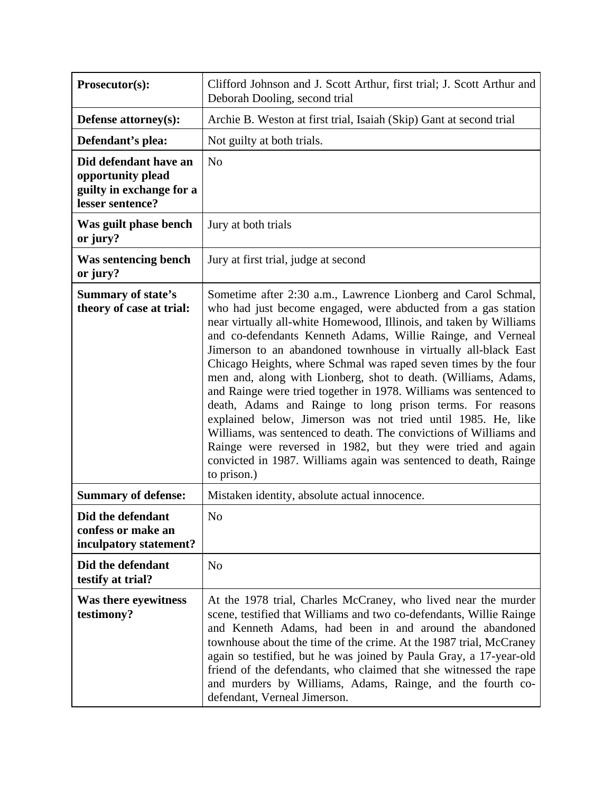| Prosecutor(s):                                                                             | Clifford Johnson and J. Scott Arthur, first trial; J. Scott Arthur and<br>Deborah Dooling, second trial                                                                                                                                                                                                                                                                                                                                                                                                                                                                                                                                                                                                                                                                                                                                                                                             |
|--------------------------------------------------------------------------------------------|-----------------------------------------------------------------------------------------------------------------------------------------------------------------------------------------------------------------------------------------------------------------------------------------------------------------------------------------------------------------------------------------------------------------------------------------------------------------------------------------------------------------------------------------------------------------------------------------------------------------------------------------------------------------------------------------------------------------------------------------------------------------------------------------------------------------------------------------------------------------------------------------------------|
| Defense attorney(s):                                                                       | Archie B. Weston at first trial, Isaiah (Skip) Gant at second trial                                                                                                                                                                                                                                                                                                                                                                                                                                                                                                                                                                                                                                                                                                                                                                                                                                 |
| Defendant's plea:                                                                          | Not guilty at both trials.                                                                                                                                                                                                                                                                                                                                                                                                                                                                                                                                                                                                                                                                                                                                                                                                                                                                          |
| Did defendant have an<br>opportunity plead<br>guilty in exchange for a<br>lesser sentence? | N <sub>o</sub>                                                                                                                                                                                                                                                                                                                                                                                                                                                                                                                                                                                                                                                                                                                                                                                                                                                                                      |
| Was guilt phase bench<br>or jury?                                                          | Jury at both trials                                                                                                                                                                                                                                                                                                                                                                                                                                                                                                                                                                                                                                                                                                                                                                                                                                                                                 |
| Was sentencing bench<br>or jury?                                                           | Jury at first trial, judge at second                                                                                                                                                                                                                                                                                                                                                                                                                                                                                                                                                                                                                                                                                                                                                                                                                                                                |
| <b>Summary of state's</b><br>theory of case at trial:                                      | Sometime after 2:30 a.m., Lawrence Lionberg and Carol Schmal,<br>who had just become engaged, were abducted from a gas station<br>near virtually all-white Homewood, Illinois, and taken by Williams<br>and co-defendants Kenneth Adams, Willie Rainge, and Verneal<br>Jimerson to an abandoned townhouse in virtually all-black East<br>Chicago Heights, where Schmal was raped seven times by the four<br>men and, along with Lionberg, shot to death. (Williams, Adams,<br>and Rainge were tried together in 1978. Williams was sentenced to<br>death, Adams and Rainge to long prison terms. For reasons<br>explained below, Jimerson was not tried until 1985. He, like<br>Williams, was sentenced to death. The convictions of Williams and<br>Rainge were reversed in 1982, but they were tried and again<br>convicted in 1987. Williams again was sentenced to death, Rainge<br>to prison.) |
| <b>Summary of defense:</b>                                                                 | Mistaken identity, absolute actual innocence.                                                                                                                                                                                                                                                                                                                                                                                                                                                                                                                                                                                                                                                                                                                                                                                                                                                       |
| Did the defendant<br>confess or make an<br>inculpatory statement?                          | No                                                                                                                                                                                                                                                                                                                                                                                                                                                                                                                                                                                                                                                                                                                                                                                                                                                                                                  |
| Did the defendant<br>testify at trial?                                                     | N <sub>o</sub>                                                                                                                                                                                                                                                                                                                                                                                                                                                                                                                                                                                                                                                                                                                                                                                                                                                                                      |
| Was there eyewitness<br>testimony?                                                         | At the 1978 trial, Charles McCraney, who lived near the murder<br>scene, testified that Williams and two co-defendants, Willie Rainge<br>and Kenneth Adams, had been in and around the abandoned<br>townhouse about the time of the crime. At the 1987 trial, McCraney<br>again so testified, but he was joined by Paula Gray, a 17-year-old<br>friend of the defendants, who claimed that she witnessed the rape<br>and murders by Williams, Adams, Rainge, and the fourth co-<br>defendant, Verneal Jimerson.                                                                                                                                                                                                                                                                                                                                                                                     |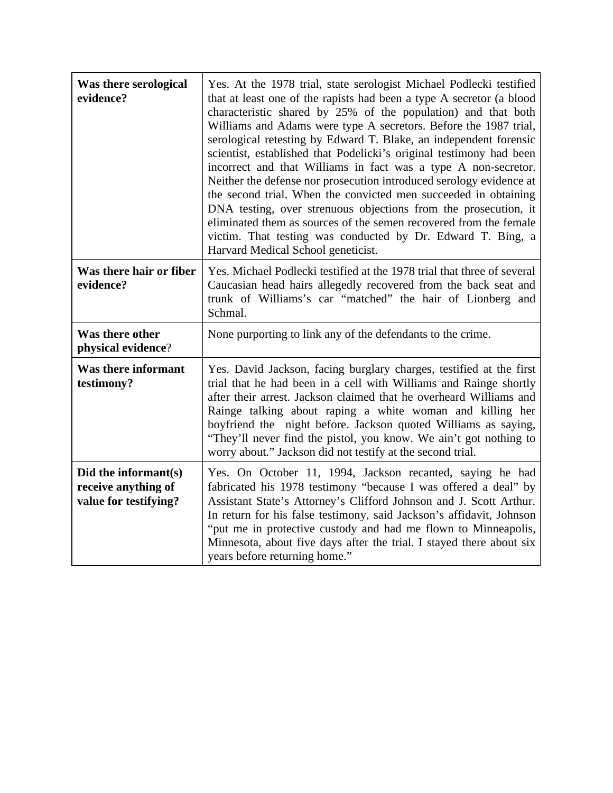| Was there serological<br>evidence?                                   | Yes. At the 1978 trial, state serologist Michael Podlecki testified<br>that at least one of the rapists had been a type A secretor (a blood<br>characteristic shared by 25% of the population) and that both<br>Williams and Adams were type A secretors. Before the 1987 trial,<br>serological retesting by Edward T. Blake, an independent forensic<br>scientist, established that Podelicki's original testimony had been<br>incorrect and that Williams in fact was a type A non-secretor.<br>Neither the defense nor prosecution introduced serology evidence at<br>the second trial. When the convicted men succeeded in obtaining<br>DNA testing, over strenuous objections from the prosecution, it<br>eliminated them as sources of the semen recovered from the female<br>victim. That testing was conducted by Dr. Edward T. Bing, a<br>Harvard Medical School geneticist. |
|----------------------------------------------------------------------|---------------------------------------------------------------------------------------------------------------------------------------------------------------------------------------------------------------------------------------------------------------------------------------------------------------------------------------------------------------------------------------------------------------------------------------------------------------------------------------------------------------------------------------------------------------------------------------------------------------------------------------------------------------------------------------------------------------------------------------------------------------------------------------------------------------------------------------------------------------------------------------|
| Was there hair or fiber<br>evidence?                                 | Yes. Michael Podlecki testified at the 1978 trial that three of several<br>Caucasian head hairs allegedly recovered from the back seat and<br>trunk of Williams's car "matched" the hair of Lionberg and<br>Schmal.                                                                                                                                                                                                                                                                                                                                                                                                                                                                                                                                                                                                                                                                   |
| Was there other<br>physical evidence?                                | None purporting to link any of the defendants to the crime.                                                                                                                                                                                                                                                                                                                                                                                                                                                                                                                                                                                                                                                                                                                                                                                                                           |
| Was there informant<br>testimony?                                    | Yes. David Jackson, facing burglary charges, testified at the first<br>trial that he had been in a cell with Williams and Rainge shortly<br>after their arrest. Jackson claimed that he overheard Williams and<br>Rainge talking about raping a white woman and killing her<br>boyfriend the night before. Jackson quoted Williams as saying,<br>"They'll never find the pistol, you know. We ain't got nothing to<br>worry about." Jackson did not testify at the second trial.                                                                                                                                                                                                                                                                                                                                                                                                      |
| Did the informant(s)<br>receive anything of<br>value for testifying? | Yes. On October 11, 1994, Jackson recanted, saying he had<br>fabricated his 1978 testimony "because I was offered a deal" by<br>Assistant State's Attorney's Clifford Johnson and J. Scott Arthur.<br>In return for his false testimony, said Jackson's affidavit, Johnson<br>"put me in protective custody and had me flown to Minneapolis,<br>Minnesota, about five days after the trial. I stayed there about six<br>years before returning home."                                                                                                                                                                                                                                                                                                                                                                                                                                 |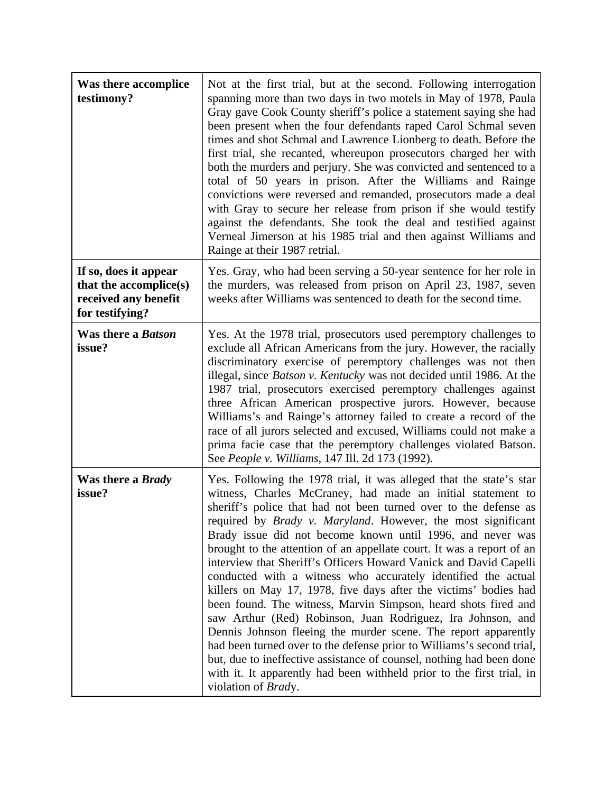| Was there accomplice<br>testimony?                                                         | Not at the first trial, but at the second. Following interrogation<br>spanning more than two days in two motels in May of 1978, Paula<br>Gray gave Cook County sheriff's police a statement saying she had<br>been present when the four defendants raped Carol Schmal seven<br>times and shot Schmal and Lawrence Lionberg to death. Before the<br>first trial, she recanted, whereupon prosecutors charged her with<br>both the murders and perjury. She was convicted and sentenced to a<br>total of 50 years in prison. After the Williams and Rainge<br>convictions were reversed and remanded, prosecutors made a deal<br>with Gray to secure her release from prison if she would testify<br>against the defendants. She took the deal and testified against<br>Verneal Jimerson at his 1985 trial and then against Williams and<br>Rainge at their 1987 retrial.                                                                                                                                                                                                            |
|--------------------------------------------------------------------------------------------|-------------------------------------------------------------------------------------------------------------------------------------------------------------------------------------------------------------------------------------------------------------------------------------------------------------------------------------------------------------------------------------------------------------------------------------------------------------------------------------------------------------------------------------------------------------------------------------------------------------------------------------------------------------------------------------------------------------------------------------------------------------------------------------------------------------------------------------------------------------------------------------------------------------------------------------------------------------------------------------------------------------------------------------------------------------------------------------|
| If so, does it appear<br>that the accomplice(s)<br>received any benefit<br>for testifying? | Yes. Gray, who had been serving a 50-year sentence for her role in<br>the murders, was released from prison on April 23, 1987, seven<br>weeks after Williams was sentenced to death for the second time.                                                                                                                                                                                                                                                                                                                                                                                                                                                                                                                                                                                                                                                                                                                                                                                                                                                                            |
| Was there a Batson<br>issue?                                                               | Yes. At the 1978 trial, prosecutors used peremptory challenges to<br>exclude all African Americans from the jury. However, the racially<br>discriminatory exercise of peremptory challenges was not then<br>illegal, since <i>Batson v. Kentucky</i> was not decided until 1986. At the<br>1987 trial, prosecutors exercised peremptory challenges against<br>three African American prospective jurors. However, because<br>Williams's and Rainge's attorney failed to create a record of the<br>race of all jurors selected and excused, Williams could not make a<br>prima facie case that the peremptory challenges violated Batson.<br>See People v. Williams, 147 Ill. 2d 173 (1992).                                                                                                                                                                                                                                                                                                                                                                                         |
| Was there a Brady<br>issue?                                                                | Yes. Following the 1978 trial, it was alleged that the state's star<br>witness, Charles McCraney, had made an initial statement to<br>sheriff's police that had not been turned over to the defense as<br>required by <i>Brady v. Maryland</i> . However, the most significant<br>Brady issue did not become known until 1996, and never was<br>brought to the attention of an appellate court. It was a report of an<br>interview that Sheriff's Officers Howard Vanick and David Capelli<br>conducted with a witness who accurately identified the actual<br>killers on May 17, 1978, five days after the victims' bodies had<br>been found. The witness, Marvin Simpson, heard shots fired and<br>saw Arthur (Red) Robinson, Juan Rodriguez, Ira Johnson, and<br>Dennis Johnson fleeing the murder scene. The report apparently<br>had been turned over to the defense prior to Williams's second trial,<br>but, due to ineffective assistance of counsel, nothing had been done<br>with it. It apparently had been withheld prior to the first trial, in<br>violation of Brady. |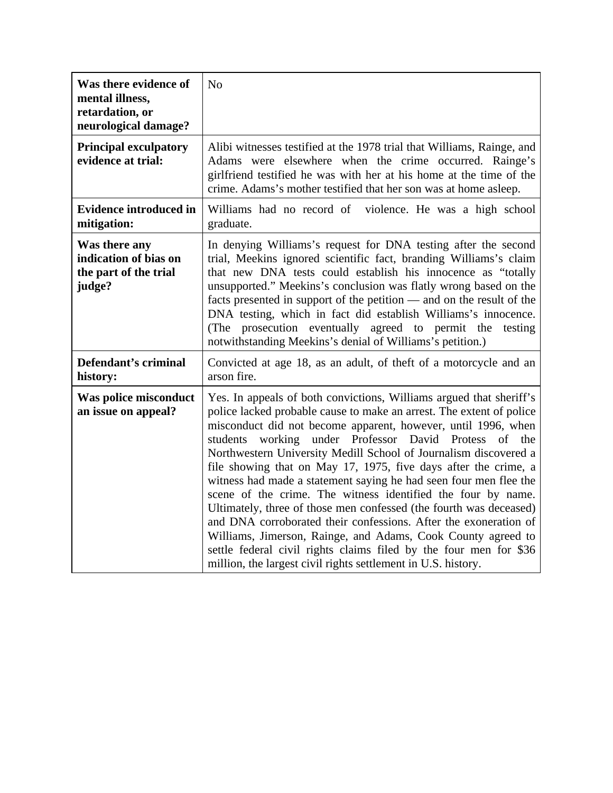| Was there evidence of<br>mental illness,<br>retardation, or<br>neurological damage? | N <sub>o</sub>                                                                                                                                                                                                                                                                                                                                                                                                                                                                                                                                                                                                                                                                                                                                                                                                                                                                                       |
|-------------------------------------------------------------------------------------|------------------------------------------------------------------------------------------------------------------------------------------------------------------------------------------------------------------------------------------------------------------------------------------------------------------------------------------------------------------------------------------------------------------------------------------------------------------------------------------------------------------------------------------------------------------------------------------------------------------------------------------------------------------------------------------------------------------------------------------------------------------------------------------------------------------------------------------------------------------------------------------------------|
| <b>Principal exculpatory</b><br>evidence at trial:                                  | Alibi witnesses testified at the 1978 trial that Williams, Rainge, and<br>Adams were elsewhere when the crime occurred. Rainge's<br>girlfriend testified he was with her at his home at the time of the<br>crime. Adams's mother testified that her son was at home asleep.                                                                                                                                                                                                                                                                                                                                                                                                                                                                                                                                                                                                                          |
| <b>Evidence introduced in</b><br>mitigation:                                        | Williams had no record of violence. He was a high school<br>graduate.                                                                                                                                                                                                                                                                                                                                                                                                                                                                                                                                                                                                                                                                                                                                                                                                                                |
| Was there any<br>indication of bias on<br>the part of the trial<br>judge?           | In denying Williams's request for DNA testing after the second<br>trial, Meekins ignored scientific fact, branding Williams's claim<br>that new DNA tests could establish his innocence as "totally<br>unsupported." Meekins's conclusion was flatly wrong based on the<br>facts presented in support of the petition — and on the result of the<br>DNA testing, which in fact did establish Williams's innocence.<br>(The prosecution eventually agreed to permit the<br>testing<br>notwithstanding Meekins's denial of Williams's petition.)                                                                                                                                                                                                                                                                                                                                                       |
| Defendant's criminal<br>history:                                                    | Convicted at age 18, as an adult, of theft of a motorcycle and an<br>arson fire.                                                                                                                                                                                                                                                                                                                                                                                                                                                                                                                                                                                                                                                                                                                                                                                                                     |
| Was police misconduct<br>an issue on appeal?                                        | Yes. In appeals of both convictions, Williams argued that sheriff's<br>police lacked probable cause to make an arrest. The extent of police<br>misconduct did not become apparent, however, until 1996, when<br>working under Professor David Protess of the<br>students<br>Northwestern University Medill School of Journalism discovered a<br>file showing that on May 17, 1975, five days after the crime, a<br>witness had made a statement saying he had seen four men flee the<br>scene of the crime. The witness identified the four by name.<br>Ultimately, three of those men confessed (the fourth was deceased)<br>and DNA corroborated their confessions. After the exoneration of<br>Williams, Jimerson, Rainge, and Adams, Cook County agreed to<br>settle federal civil rights claims filed by the four men for \$36<br>million, the largest civil rights settlement in U.S. history. |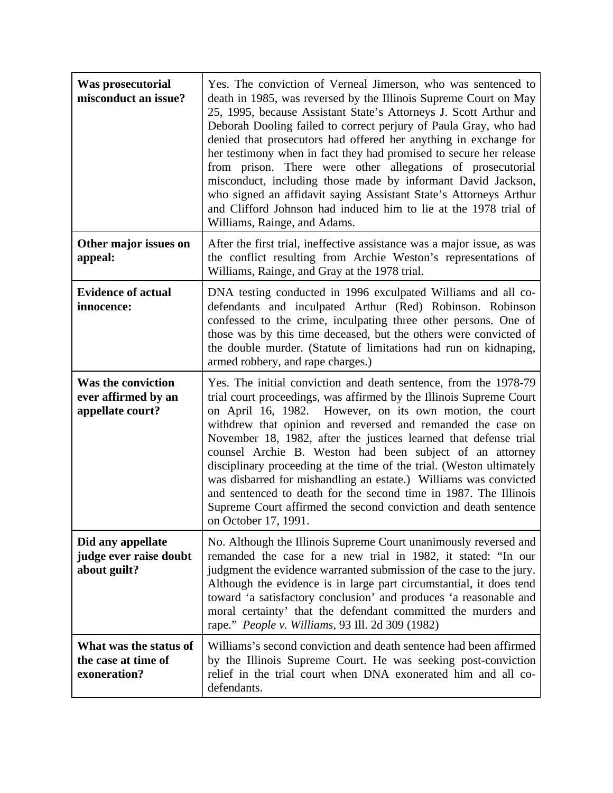| Was prosecutorial<br>misconduct an issue?                            | Yes. The conviction of Verneal Jimerson, who was sentenced to<br>death in 1985, was reversed by the Illinois Supreme Court on May<br>25, 1995, because Assistant State's Attorneys J. Scott Arthur and<br>Deborah Dooling failed to correct perjury of Paula Gray, who had<br>denied that prosecutors had offered her anything in exchange for<br>her testimony when in fact they had promised to secure her release<br>from prison. There were other allegations of prosecutorial<br>misconduct, including those made by informant David Jackson,<br>who signed an affidavit saying Assistant State's Attorneys Arthur<br>and Clifford Johnson had induced him to lie at the 1978 trial of<br>Williams, Rainge, and Adams. |
|----------------------------------------------------------------------|-----------------------------------------------------------------------------------------------------------------------------------------------------------------------------------------------------------------------------------------------------------------------------------------------------------------------------------------------------------------------------------------------------------------------------------------------------------------------------------------------------------------------------------------------------------------------------------------------------------------------------------------------------------------------------------------------------------------------------|
| Other major issues on<br>appeal:                                     | After the first trial, ineffective assistance was a major issue, as was<br>the conflict resulting from Archie Weston's representations of<br>Williams, Rainge, and Gray at the 1978 trial.                                                                                                                                                                                                                                                                                                                                                                                                                                                                                                                                  |
| <b>Evidence of actual</b><br>innocence:                              | DNA testing conducted in 1996 exculpated Williams and all co-<br>defendants and inculpated Arthur (Red) Robinson. Robinson<br>confessed to the crime, inculpating three other persons. One of<br>those was by this time deceased, but the others were convicted of<br>the double murder. (Statute of limitations had run on kidnaping,<br>armed robbery, and rape charges.)                                                                                                                                                                                                                                                                                                                                                 |
| <b>Was the conviction</b><br>ever affirmed by an<br>appellate court? | Yes. The initial conviction and death sentence, from the 1978-79<br>trial court proceedings, was affirmed by the Illinois Supreme Court<br>on April 16, 1982. However, on its own motion, the court<br>withdrew that opinion and reversed and remanded the case on<br>November 18, 1982, after the justices learned that defense trial<br>counsel Archie B. Weston had been subject of an attorney<br>disciplinary proceeding at the time of the trial. (Weston ultimately<br>was disbarred for mishandling an estate.) Williams was convicted<br>and sentenced to death for the second time in 1987. The Illinois<br>Supreme Court affirmed the second conviction and death sentence<br>on October 17, 1991.               |
| Did any appellate<br>judge ever raise doubt<br>about guilt?          | No. Although the Illinois Supreme Court unanimously reversed and<br>remanded the case for a new trial in 1982, it stated: "In our<br>judgment the evidence warranted submission of the case to the jury.<br>Although the evidence is in large part circumstantial, it does tend<br>toward 'a satisfactory conclusion' and produces 'a reasonable and<br>moral certainty' that the defendant committed the murders and<br>rape." <i>People v. Williams</i> , 93 Ill. 2d 309 (1982)                                                                                                                                                                                                                                           |
| What was the status of<br>the case at time of<br>exoneration?        | Williams's second conviction and death sentence had been affirmed<br>by the Illinois Supreme Court. He was seeking post-conviction<br>relief in the trial court when DNA exonerated him and all co-<br>defendants.                                                                                                                                                                                                                                                                                                                                                                                                                                                                                                          |